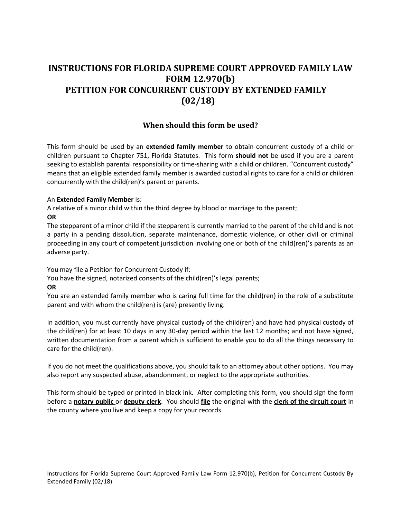# **FORM 12.970(b) INSTRUCTIONS FOR FLORIDA SUPREME COURT APPROVED FAMILY LAW PETITION FOR CONCURRENT CUSTODY BY EXTENDED FAMILY (02/18)**

## **When should this form be used?**

 This form should be used by an **extended family member** to obtain concurrent custody of a child or children pursuant to Chapter 751, Florida Statutes. This form **should not** be used if you are a parent seeking to establish parental responsibility or time-sharing with a child or children. "Concurrent custody" means that an eligible extended family member is awarded custodial rights to care for a child or children concurrently with the child(ren)'s parent or parents.

#### An **Extended Family Member** is:

A relative of a minor child within the third degree by blood or marriage to the parent;

#### **OR**

 The stepparent of a minor child if the stepparent is currently married to the parent of the child and is not a party in a pending dissolution, separate maintenance, domestic violence, or other civil or criminal proceeding in any court of competent jurisdiction involving one or both of the child(ren)'s parents as an adverse party.

You may file a Petition for Concurrent Custody if:

You have the signed, notarized consents of the child(ren)'s legal parents;

#### **OR**

 You are an extended family member who is caring full time for the child(ren) in the role of a substitute parent and with whom the child(ren) is (are) presently living.

 In addition, you must currently have physical custody of the child(ren) and have had physical custody of the child(ren) for at least 10 days in any 30-day period within the last 12 months; and not have signed, written documentation from a parent which is sufficient to enable you to do all the things necessary to care for the child(ren).

 If you do not meet the qualifications above, you should talk to an attorney about other options. You may also report any suspected abuse, abandonment, or neglect to the appropriate authorities.

 This form should be typed or printed in black ink. After completing this form, you should sign the form before a **notary public** or **deputy clerk**. You should **file** the original with the **clerk of the circuit court** in the county where you live and keep a copy for your records.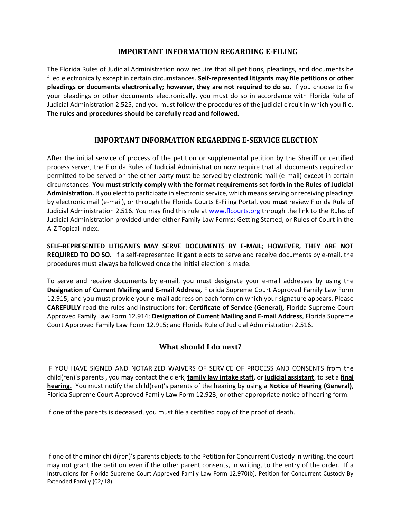#### **IMPORTANT INFORMATION REGARDING E-FILING**

 The Florida Rules of Judicial Administration now require that all petitions, pleadings, and documents be  **pleadings or documents electronically; however, they are not required to do so.** If you choose to file your pleadings or other documents electronically, you must do so in accordance with Florida Rule of Judicial Administration 2.525, and you must follow the procedures of the judicial circuit in which you file. filed electronically except in certain circumstances. **Self-represented litigants may file petitions or other The rules and procedures should be carefully read and followed.** 

## **IMPORTANT INFORMATION REGARDING E-SERVICE ELECTION**

 After the initial service of process of the petition or supplemental petition by the Sheriff or certified process server, the Florida Rules of Judicial Administration now require that all documents required or permitted to be served on the other party must be served by electronic mail (e-mail) except in certain  circumstances. **You must strictly comply with the format requirements set forth in the Rules of Judicial Administration.** If you elect to participate in electronic service, which means serving or receiving pleadings by electronic mail (e-mail), or through the Florida Courts E-Filing Portal, you **must** review Florida Rule of Judicial Administration 2.516. You may find this rule at [www.flcourts.org](http://www.flcourts.org/) through the link to the Rules of Judicial Administration provided under either Family Law Forms: Getting Started, or Rules of Court in the A-Z Topical Index.

 **SELF-REPRESENTED LITIGANTS MAY SERVE DOCUMENTS BY E-MAIL; HOWEVER, THEY ARE NOT REQUIRED TO DO SO.** If a self-represented litigant elects to serve and receive documents by e-mail, the procedures must always be followed once the initial election is made.

 To serve and receive documents by e-mail, you must designate your e-mail addresses by using the  **Designation of Current Mailing and E-mail Address**, Florida Supreme Court Approved Family Law Form 12.915, and you must provide your e-mail address on each form on which your signature appears. Please **CAREFULLY** read the rules and instructions for: **Certificate of Service (General),** Florida Supreme Court Approved Family Law Form 12.914; **Designation of Current Mailing and E-mail Address**, Florida Supreme Court Approved Family Law Form 12.915; and Florida Rule of Judicial Administration 2.516.

## **What should I do next?**

 IF YOU HAVE SIGNED AND NOTARIZED WAIVERS OF SERVICE OF PROCESS AND CONSENTS from the child(ren)'s parents , you may contact the clerk, **family law intake staff**, or **judicial assistant**, to set a **final hearing.** You must notify the child(ren)'s parents of the hearing by using a **Notice of Hearing (General)**, Florida Supreme Court Approved Family Law Form 12.923, or other appropriate notice of hearing form.

If one of the parents is deceased, you must file a certified copy of the proof of death.

 Instructions for Florida Supreme Court Approved Family Law Form 12.970(b), Petition for Concurrent Custody By If one of the minor child(ren)'s parents objects to the Petition for Concurrent Custody in writing, the court may not grant the petition even if the other parent consents, in writing, to the entry of the order. If a Extended Family (02/18)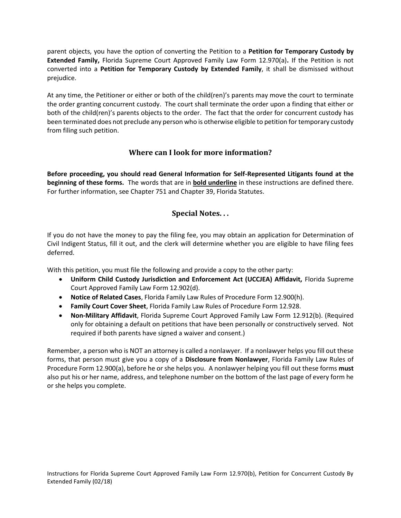parent objects, you have the option of converting the Petition to a **Petition for Temporary Custody by Extended Family,** Florida Supreme Court Approved Family Law Form 12.970(a)**.** If the Petition is not converted into a **Petition for Temporary Custody by Extended Family**, it shall be dismissed without prejudice.

 At any time, the Petitioner or either or both of the child(ren)'s parents may move the court to terminate the order granting concurrent custody. The court shall terminate the order upon a finding that either or both of the child(ren)'s parents objects to the order. The fact that the order for concurrent custody has been terminated does not preclude any person who is otherwise eligible to petition for temporary custody from filing such petition.

## **Where can I look for more information?**

 **Before proceeding, you should read General Information for Self-Represented Litigants found at the beginning of these forms.** The words that are in **bold underline** in these instructions are defined there. For further information, see Chapter 751 and Chapter 39, Florida Statutes.

## **Special Notes. . .**

 If you do not have the money to pay the filing fee, you may obtain an application for Determination of Civil Indigent Status, fill it out, and the clerk will determine whether you are eligible to have filing fees deferred.

With this petition, you must file the following and provide a copy to the other party:

- **Uniform Child Custody Jurisdiction and Enforcement Act (UCCJEA) Affidavit,** Florida Supreme Court Approved Family Law Form 12.902(d).
- **Notice of Related Cases**, Florida Family Law Rules of Procedure Form 12.900(h).
- **Family Court Cover Sheet**, Florida Family Law Rules of Procedure Form 12.928.
- **Non-Military Affidavit**, Florida Supreme Court Approved Family Law Form 12.912(b). (Required only for obtaining a default on petitions that have been personally or constructively served. Not required if both parents have signed a waiver and consent.)

 Remember, a person who is NOT an attorney is called a nonlawyer. If a nonlawyer helps you fill out these forms, that person must give you a copy of a **Disclosure from Nonlawyer**, Florida Family Law Rules of Procedure Form 12.900(a), before he or she helps you. A nonlawyer helping you fill out these forms **must**  also put his or her name, address, and telephone number on the bottom of the last page of every form he or she helps you complete.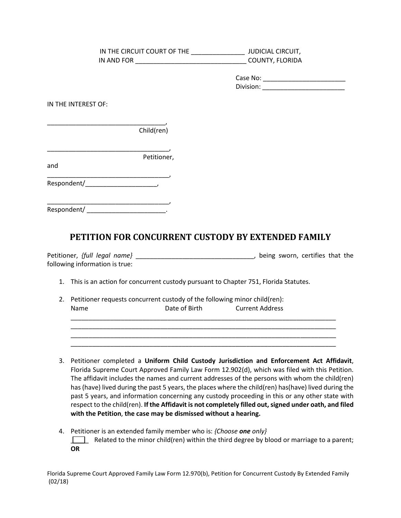IN THE CIRCUIT COURT OF THE \_\_\_\_\_\_\_\_\_\_\_\_\_\_\_ JUDICIAL CIRCUIT, IN AND FOR \_\_\_\_\_\_\_\_\_\_\_\_\_\_\_\_\_\_\_\_\_\_\_\_\_\_\_\_\_\_\_ COUNTY, FLORIDA

> Case No: \_\_\_\_\_\_\_\_\_\_\_\_\_\_\_\_\_\_\_\_\_\_\_ Division: \_\_\_\_\_\_\_\_\_\_\_\_\_\_\_\_\_\_\_\_\_\_\_

IN THE INTEREST OF:

|             | Child(ren)  |
|-------------|-------------|
| and         | Petitioner, |
| Respondent/ |             |
| Respondent/ |             |

## **PETITION FOR CONCURRENT CUSTODY BY EXTENDED FAMILY**

 Petitioner, *{full legal name}* \_\_\_\_\_\_\_\_\_\_\_\_\_\_\_\_\_\_\_\_\_\_\_\_\_\_\_\_\_\_\_\_\_, being sworn, certifies that the following information is true:

\_\_\_\_\_\_\_\_\_\_\_\_\_\_\_\_\_\_\_\_\_\_\_\_\_\_\_\_\_\_\_\_\_\_\_\_\_\_\_\_\_\_\_\_\_\_\_\_\_\_\_\_\_\_\_\_\_\_\_\_\_\_\_\_\_\_\_\_\_\_\_\_\_\_ \_\_\_\_\_\_\_\_\_\_\_\_\_\_\_\_\_\_\_\_\_\_\_\_\_\_\_\_\_\_\_\_\_\_\_\_\_\_\_\_\_\_\_\_\_\_\_\_\_\_\_\_\_\_\_\_\_\_\_\_\_\_\_\_\_\_\_\_\_\_\_\_\_\_ \_\_\_\_\_\_\_\_\_\_\_\_\_\_\_\_\_\_\_\_\_\_\_\_\_\_\_\_\_\_\_\_\_\_\_\_\_\_\_\_\_\_\_\_\_\_\_\_\_\_\_\_\_\_\_\_\_\_\_\_\_\_\_\_\_\_\_\_\_\_\_\_\_\_ \_\_\_\_\_\_\_\_\_\_\_\_\_\_\_\_\_\_\_\_\_\_\_\_\_\_\_\_\_\_\_\_\_\_\_\_\_\_\_\_\_\_\_\_\_\_\_\_\_\_\_\_\_\_\_\_\_\_\_\_\_\_\_\_\_\_\_\_\_\_\_\_\_\_

- 1. This is an action for concurrent custody pursuant to Chapter 751, Florida Statutes.
- Name 2. Petitioner requests concurrent custody of the following minor child(ren): Date of Birth Current Address
- 3. Petitioner completed a **Uniform Child Custody Jurisdiction and Enforcement Act Affidavit**, Florida Supreme Court Approved Family Law Form 12.902(d), which was filed with this Petition. The affidavit includes the names and current addresses of the persons with whom the child(ren) has (have) lived during the past 5 years, the places where the child(ren) has(have) lived during the past 5 years, and information concerning any custody proceeding in this or any other state with respect to the child(ren). **If the Affidavit is not completely filled out, signed under oath, and filed with the Petition**, **the case may be dismissed without a hearing.**
- 4. Petitioner is an extended family member who is: *{Choose one only}*  Related to the minor child(ren) within the third degree by blood or marriage to a parent; **OR**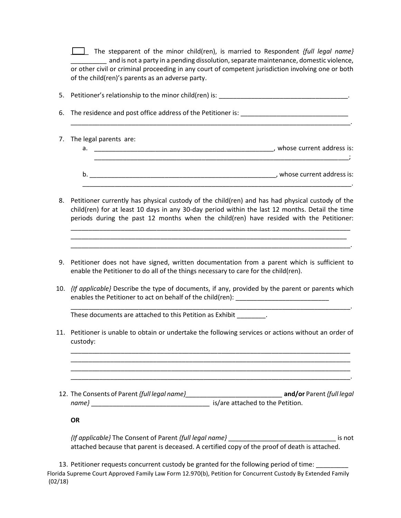\_\_\_\_\_ The stepparent of the minor child(ren), is married to Respondent *{full legal name}*  \_\_\_\_\_\_\_\_\_\_ and is not a party in a pending dissolution, separate maintenance, domestic violence, or other civil or criminal proceeding in any court of competent jurisdiction involving one or both of the child(ren)'s parents as an adverse party.

\_\_\_\_\_\_\_\_\_\_\_\_\_\_\_\_\_\_\_\_\_\_\_\_\_\_\_\_\_\_\_\_\_\_\_\_\_\_\_\_\_\_\_\_\_\_\_\_\_\_\_\_\_\_\_\_\_\_\_\_\_\_\_\_\_\_\_\_\_\_\_\_\_\_\_\_\_\_.

5. Petitioner's relationship to the minor child(ren) is: \_\_\_\_\_\_\_\_\_\_\_\_\_\_\_\_\_\_\_\_\_\_\_\_\_\_\_\_\_\_\_\_\_\_\_\_.

- 6. The residence and post office address of the Petitioner is: \_\_\_\_\_\_\_\_\_\_\_\_\_\_\_\_\_\_
- 7. The legal parents are:
	- \_\_\_\_\_\_\_\_\_\_\_\_\_\_\_\_\_\_\_\_\_\_\_\_\_\_\_\_\_\_\_\_\_\_\_\_\_\_\_\_\_\_\_\_\_\_\_\_\_\_\_\_\_\_\_\_\_\_\_\_\_\_\_\_\_\_\_\_\_\_\_; b. \_\_\_\_\_\_\_\_\_\_\_\_\_\_\_\_\_\_\_\_\_\_\_\_\_\_\_\_\_\_\_\_\_\_\_\_\_\_\_\_\_\_\_\_\_\_\_\_\_\_\_\_, whose current address is: a. \_\_\_\_\_\_\_\_\_\_\_\_\_\_\_\_\_\_\_\_\_\_\_\_\_\_\_\_\_\_\_\_\_\_\_\_\_\_\_\_\_\_\_\_\_\_\_\_\_\_, whose current address is: \_\_\_\_\_\_\_\_\_\_\_\_\_\_\_\_\_\_\_\_\_\_\_\_\_\_\_\_\_\_\_\_\_\_\_\_\_\_\_\_\_\_\_\_\_\_\_\_\_\_\_\_\_\_\_\_\_\_\_\_\_\_\_\_\_\_\_\_\_\_\_\_\_\_\_.
- 8. Petitioner currently has physical custody of the child(ren) and has had physical custody of the child(ren) for at least 10 days in any 30-day period within the last 12 months. Detail the time periods during the past 12 months when the child(ren) have resided with the Petitioner:

\_\_\_\_\_\_\_\_\_\_\_\_\_\_\_\_\_\_\_\_\_\_\_\_\_\_\_\_\_\_\_\_\_\_\_\_\_\_\_\_\_\_\_\_\_\_\_\_\_\_\_\_\_\_\_\_\_\_\_\_\_\_\_\_\_\_\_\_\_\_\_\_\_\_\_\_\_\_ \_\_\_\_\_\_\_\_\_\_\_\_\_\_\_\_\_\_\_\_\_\_\_\_\_\_\_\_\_\_\_\_\_\_\_\_\_\_\_\_\_\_\_\_\_\_\_\_\_\_\_\_\_\_\_\_\_\_\_\_\_\_\_\_\_\_\_\_\_\_\_\_\_\_\_\_\_

\_\_\_\_\_\_\_\_\_\_\_\_\_\_\_\_\_\_\_\_\_\_\_\_\_\_\_\_\_\_\_\_\_\_\_\_\_\_\_\_\_\_\_\_\_\_\_\_\_\_\_\_\_\_\_\_\_\_\_\_\_\_\_\_\_\_\_\_\_\_\_\_\_\_\_\_\_\_.

- 9. Petitioner does not have signed, written documentation from a parent which is sufficient to enable the Petitioner to do all of the things necessary to care for the child(ren).
- 10. *{If applicable}* Describe the type of documents, if any, provided by the parent or parents which enables the Petitioner to act on behalf of the child(ren): \_\_\_\_\_\_\_\_\_\_\_\_\_\_\_\_\_\_\_\_\_

\_\_\_\_\_\_\_\_\_\_\_\_\_\_\_\_\_\_\_\_\_\_\_\_\_\_\_\_\_\_\_\_\_\_\_\_\_\_\_\_\_\_\_\_\_\_\_\_\_\_\_\_\_\_\_\_\_\_\_\_\_\_\_\_\_\_\_\_\_\_\_\_\_\_\_\_\_\_.

These documents are attached to this Petition as Exhibit \_\_\_\_\_\_\_\_.

 11. Petitioner is unable to obtain or undertake the following services or actions without an order of custody:

\_\_\_\_\_\_\_\_\_\_\_\_\_\_\_\_\_\_\_\_\_\_\_\_\_\_\_\_\_\_\_\_\_\_\_\_\_\_\_\_\_\_\_\_\_\_\_\_\_\_\_\_\_\_\_\_\_\_\_\_\_\_\_\_\_\_\_\_\_\_\_\_\_\_\_\_\_\_ \_\_\_\_\_\_\_\_\_\_\_\_\_\_\_\_\_\_\_\_\_\_\_\_\_\_\_\_\_\_\_\_\_\_\_\_\_\_\_\_\_\_\_\_\_\_\_\_\_\_\_\_\_\_\_\_\_\_\_\_\_\_\_\_\_\_\_\_\_\_\_\_\_\_\_\_\_\_ \_\_\_\_\_\_\_\_\_\_\_\_\_\_\_\_\_\_\_\_\_\_\_\_\_\_\_\_\_\_\_\_\_\_\_\_\_\_\_\_\_\_\_\_\_\_\_\_\_\_\_\_\_\_\_\_\_\_\_\_\_\_\_\_\_\_\_\_\_\_\_\_\_\_\_\_\_\_

\_\_\_\_\_\_\_\_\_\_\_\_\_\_\_\_\_\_\_\_\_\_\_\_\_\_\_\_\_\_\_\_\_\_\_\_\_\_\_\_\_\_\_\_\_\_\_\_\_\_\_\_\_\_\_\_\_\_\_\_\_\_\_\_\_\_\_\_\_\_\_\_\_\_\_\_\_\_.

and/or Parent {full legal *name}* \_\_\_\_\_\_\_\_\_\_\_\_\_\_\_\_\_\_\_\_\_\_\_\_\_\_\_\_\_\_\_\_\_ is/are attached to the Petition. 12. The Consents of Parent *{full legal name}\_\_\_\_\_\_\_\_\_* 

**OR** 

is not *{If applicable}* The Consent of Parent *{full legal name}* attached because that parent is deceased. A certified copy of the proof of death is attached.

 (02/18) 13. Petitioner requests concurrent custody be granted for the following period of time: \_\_\_\_\_\_\_\_\_ Florida Supreme Court Approved Family Law Form 12.970(b), Petition for Concurrent Custody By Extended Family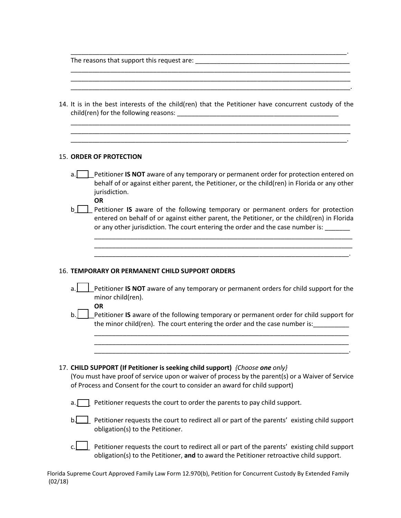| The reasons that support this request are: |  |
|--------------------------------------------|--|

|                           | 14. It is in the best interests of the child(ren) that the Petitioner have concurrent custody of the                                                                                                                                                                       |
|---------------------------|----------------------------------------------------------------------------------------------------------------------------------------------------------------------------------------------------------------------------------------------------------------------------|
|                           |                                                                                                                                                                                                                                                                            |
|                           | <b>15. ORDER OF PROTECTION</b>                                                                                                                                                                                                                                             |
| a.l                       | Petitioner IS NOT aware of any temporary or permanent order for protection entered on<br>behalf of or against either parent, the Petitioner, or the child(ren) in Florida or any other<br>jurisdiction.                                                                    |
| <b>OR</b><br>$\mathsf{b}$ | Petitioner IS aware of the following temporary or permanent orders for protection<br>entered on behalf of or against either parent, the Petitioner, or the child(ren) in Florida<br>or any other jurisdiction. The court entering the order and the case number is: ______ |
|                           |                                                                                                                                                                                                                                                                            |
|                           |                                                                                                                                                                                                                                                                            |
|                           | <b>16. TEMPORARY OR PERMANENT CHILD SUPPORT ORDERS</b>                                                                                                                                                                                                                     |
| a.                        | Petitioner IS NOT aware of any temporary or permanent orders for child support for the<br>minor child(ren).                                                                                                                                                                |
| <b>OR</b><br>b.           | Petitioner IS aware of the following temporary or permanent order for child support for<br>the minor child(ren). The court entering the order and the case number is: _________                                                                                            |
|                           |                                                                                                                                                                                                                                                                            |
|                           | CHILD SUPPORT (If Petitioner is seeking child support) {Choose one only}<br>(You must have proof of service upon or waiver of process by the parent(s) or a Waiver of Service<br>of Process and Consent for the court to consider an award for child support)              |
| a.                        | Petitioner requests the court to order the parents to pay child support.                                                                                                                                                                                                   |
| b.                        | Petitioner requests the court to redirect all or part of the parents' existing child support<br>obligation(s) to the Petitioner.                                                                                                                                           |
| c.                        | Petitioner requests the court to redirect all or part of the parents' existing child support<br>obligation(s) to the Petitioner, and to award the Petitioner retroactive child support.                                                                                    |

\_\_\_\_\_\_\_\_\_\_\_\_\_\_\_\_\_\_\_\_\_\_\_\_\_\_\_\_\_\_\_\_\_\_\_\_\_\_\_\_\_\_\_\_\_\_\_\_\_\_\_\_\_\_\_\_\_\_\_\_\_\_\_\_\_\_\_\_\_\_\_\_\_\_\_\_\_\_

| Florida Supreme Court Approved Family Law Form 12.970(b), Petition for Concurrent Custody By Extended Family |
|--------------------------------------------------------------------------------------------------------------|
| (02/18)                                                                                                      |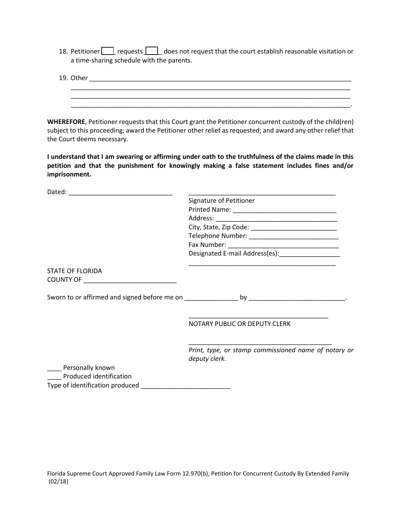18. Petitioner **LE** requests **LE** does not request that the court establish reasonable visitation or a time-sharing schedule with the parents.

| 19. Other |  |  |  |  |  |
|-----------|--|--|--|--|--|
|           |  |  |  |  |  |
|           |  |  |  |  |  |
|           |  |  |  |  |  |

 **WHEREFORE**, Petitioner requests that this Court grant the Petitioner concurrent custody of the child(ren) subject to this proceeding; award the Petitioner other relief as requested; and award any other relief that the Court deems necessary.

 **I understand that I am swearing or affirming under oath to the truthfulness of the claims made in this petition and that the punishment for knowingly making a false statement includes fines and/or imprisonment.** 

|                                 | Signature of Petitioner                                               |  |  |  |  |
|---------------------------------|-----------------------------------------------------------------------|--|--|--|--|
|                                 |                                                                       |  |  |  |  |
|                                 |                                                                       |  |  |  |  |
|                                 |                                                                       |  |  |  |  |
|                                 |                                                                       |  |  |  |  |
|                                 |                                                                       |  |  |  |  |
|                                 | Designated E-mail Address(es):___________________                     |  |  |  |  |
| <b>STATE OF FLORIDA</b>         |                                                                       |  |  |  |  |
|                                 |                                                                       |  |  |  |  |
|                                 | NOTARY PUBLIC OR DEPUTY CLERK                                         |  |  |  |  |
|                                 | Print, type, or stamp commissioned name of notary or<br>deputy clerk. |  |  |  |  |
| Personally known                |                                                                       |  |  |  |  |
| Produced identification         |                                                                       |  |  |  |  |
| Type of identification produced |                                                                       |  |  |  |  |